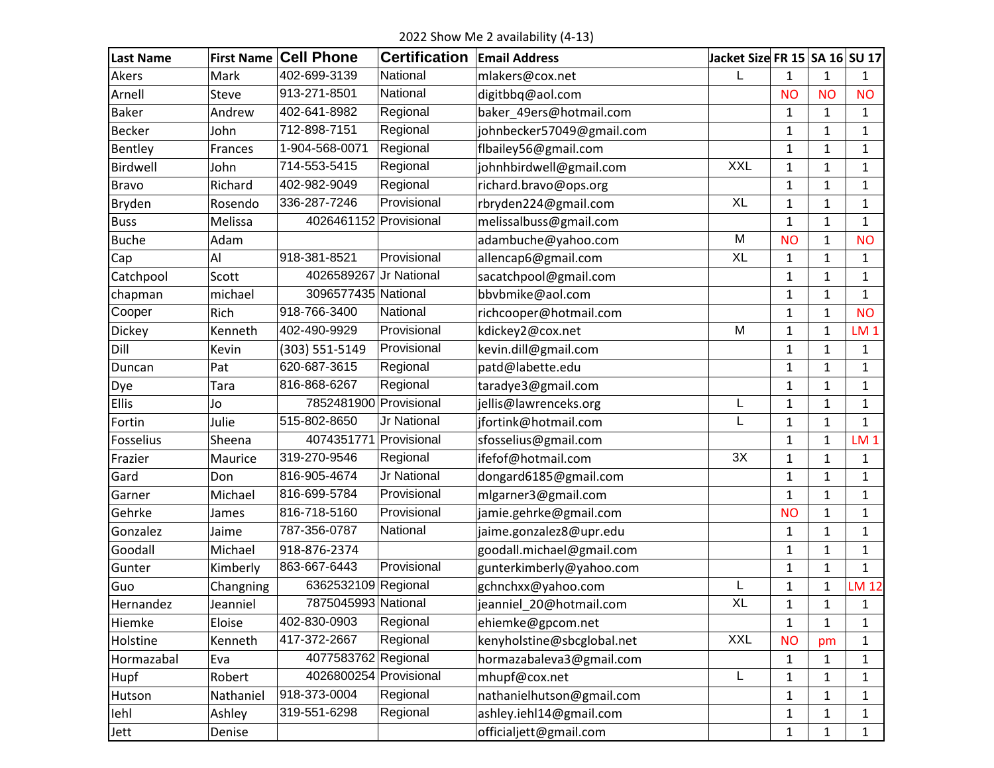2022 Show Me 2 availability (4-13)

| <b>Last Name</b> | <b>First Name</b> | <b>Cell Phone</b>      | <b>Certification</b> | <b>Email Address</b>       | Jacket Size FR 15 SA 16 SU 17 |              |              |                 |
|------------------|-------------------|------------------------|----------------------|----------------------------|-------------------------------|--------------|--------------|-----------------|
| Akers            | Mark              | 402-699-3139           | National             | mlakers@cox.net            | L                             | $\mathbf{1}$ | 1            | 1               |
| Arnell           | Steve             | 913-271-8501           | National             | digitbbq@aol.com           |                               | <b>NO</b>    | <b>NO</b>    | <b>NO</b>       |
| <b>Baker</b>     | Andrew            | 402-641-8982           | Regional             | baker_49ers@hotmail.com    |                               | $\mathbf{1}$ | 1            | 1               |
| <b>Becker</b>    | John              | 712-898-7151           | Regional             | johnbecker57049@gmail.com  |                               | 1            | 1            | 1               |
| Bentley          | Frances           | 1-904-568-0071         | Regional             | flbailey56@gmail.com       |                               | $\mathbf{1}$ | $\mathbf{1}$ | 1               |
| Birdwell         | John              | 714-553-5415           | Regional             | johnhbirdwell@gmail.com    | <b>XXL</b>                    | $\mathbf{1}$ | 1            | 1               |
| <b>Bravo</b>     | Richard           | 402-982-9049           | Regional             | richard.bravo@ops.org      |                               | $\mathbf{1}$ | $\mathbf{1}$ | 1               |
| Bryden           | Rosendo           | 336-287-7246           | Provisional          | rbryden224@gmail.com       | <b>XL</b>                     | $\mathbf{1}$ | $\mathbf{1}$ | 1               |
| <b>Buss</b>      | Melissa           | 4026461152 Provisional |                      | melissalbuss@gmail.com     |                               | $\mathbf{1}$ | 1            | 1               |
| <b>Buche</b>     | Adam              |                        |                      | adambuche@yahoo.com        | M                             | <b>NO</b>    | $\mathbf{1}$ | <b>NO</b>       |
| Cap              | Al                | 918-381-8521           | Provisional          | allencap6@gmail.com        | <b>XL</b>                     | $\mathbf{1}$ | $\mathbf{1}$ | $\mathbf{1}$    |
| Catchpool        | Scott             | 4026589267             | Jr National          | sacatchpool@gmail.com      |                               | 1            | $\mathbf{1}$ | 1               |
| chapman          | michael           | 3096577435 National    |                      | bbvbmike@aol.com           |                               | 1            | 1            | $\mathbf{1}$    |
| Cooper           | Rich              | 918-766-3400           | National             | richcooper@hotmail.com     |                               | $\mathbf{1}$ | $\mathbf{1}$ | <b>NO</b>       |
| Dickey           | Kenneth           | 402-490-9929           | Provisional          | kdickey2@cox.net           | M                             | 1            | 1            | LM <sub>1</sub> |
| Dill             | Kevin             | (303) 551-5149         | Provisional          | kevin.dill@gmail.com       |                               | $\mathbf{1}$ | $\mathbf{1}$ | 1               |
| Duncan           | Pat               | 620-687-3615           | Regional             | patd@labette.edu           |                               | $\mathbf{1}$ | 1            | 1               |
| Dye              | Tara              | 816-868-6267           | Regional             | taradye3@gmail.com         |                               | 1            | 1            | 1               |
| <b>Ellis</b>     | Jo                | 7852481900 Provisional |                      | jellis@lawrenceks.org      | L                             | 1            | $\mathbf{1}$ | 1               |
| Fortin           | Julie             | 515-802-8650           | Jr National          | jfortink@hotmail.com       | L                             | $\mathbf{1}$ | 1            | $\mathbf{1}$    |
| Fosselius        | Sheena            | 4074351771             | Provisional          | sfosselius@gmail.com       |                               | $\mathbf{1}$ | 1            | LM <sub>1</sub> |
| Frazier          | Maurice           | 319-270-9546           | Regional             | ifefof@hotmail.com         | 3X                            | $\mathbf{1}$ | $\mathbf{1}$ | 1               |
| Gard             | Don               | 816-905-4674           | Jr National          | dongard6185@gmail.com      |                               | 1            | $\mathbf{1}$ | 1               |
| Garner           | Michael           | 816-699-5784           | Provisional          | mlgarner3@gmail.com        |                               | $\mathbf{1}$ | $\mathbf{1}$ | 1               |
| Gehrke           | James             | 816-718-5160           | Provisional          | jamie.gehrke@gmail.com     |                               | <b>NO</b>    | $\mathbf{1}$ | 1               |
| Gonzalez         | Jaime             | 787-356-0787           | National             | jaime.gonzalez8@upr.edu    |                               | $\mathbf{1}$ | $\mathbf{1}$ | 1               |
| Goodall          | Michael           | 918-876-2374           |                      | goodall.michael@gmail.com  |                               | $\mathbf{1}$ | $\mathbf{1}$ | 1               |
| Gunter           | Kimberly          | 863-667-6443           | Provisional          | gunterkimberly@yahoo.com   |                               | $\mathbf{1}$ | 1            | $\mathbf{1}$    |
| Guo              | Changning         | 6362532109 Regional    |                      | gchnchxx@yahoo.com         | L                             | $\mathbf 1$  | $\mathbf{1}$ | LM 12           |
| Hernandez        | Jeanniel          | 7875045993 National    |                      | jeanniel_20@hotmail.com    | <b>XL</b>                     | $\mathbf{1}$ | 1            | 1               |
| Hiemke           | Eloise            | 402-830-0903           | Regional             | ehiemke@gpcom.net          |                               | $\mathbf{1}$ | 1            | 1               |
| Holstine         | Kenneth           | 417-372-2667           | Regional             | kenyholstine@sbcglobal.net | <b>XXL</b>                    | <b>NO</b>    | pm           | 1               |
| Hormazabal       | Eva               | 4077583762 Regional    |                      | hormazabaleva3@gmail.com   |                               | $\mathbf{1}$ | 1            | 1               |
| Hupf             | Robert            | 4026800254 Provisional |                      | mhupf@cox.net              | L                             | $\mathbf{1}$ | 1            | 1               |
| Hutson           | Nathaniel         | 918-373-0004           | Regional             | nathanielhutson@gmail.com  |                               | $\mathbf 1$  | 1            | 1               |
| lehl             | Ashley            | 319-551-6298           | Regional             | ashley.iehl14@gmail.com    |                               | $\mathbf{1}$ | $\mathbf{1}$ | 1               |
| Jett             | Denise            |                        |                      | officialjett@gmail.com     |                               | $\mathbf{1}$ | 1            | $\mathbf{1}$    |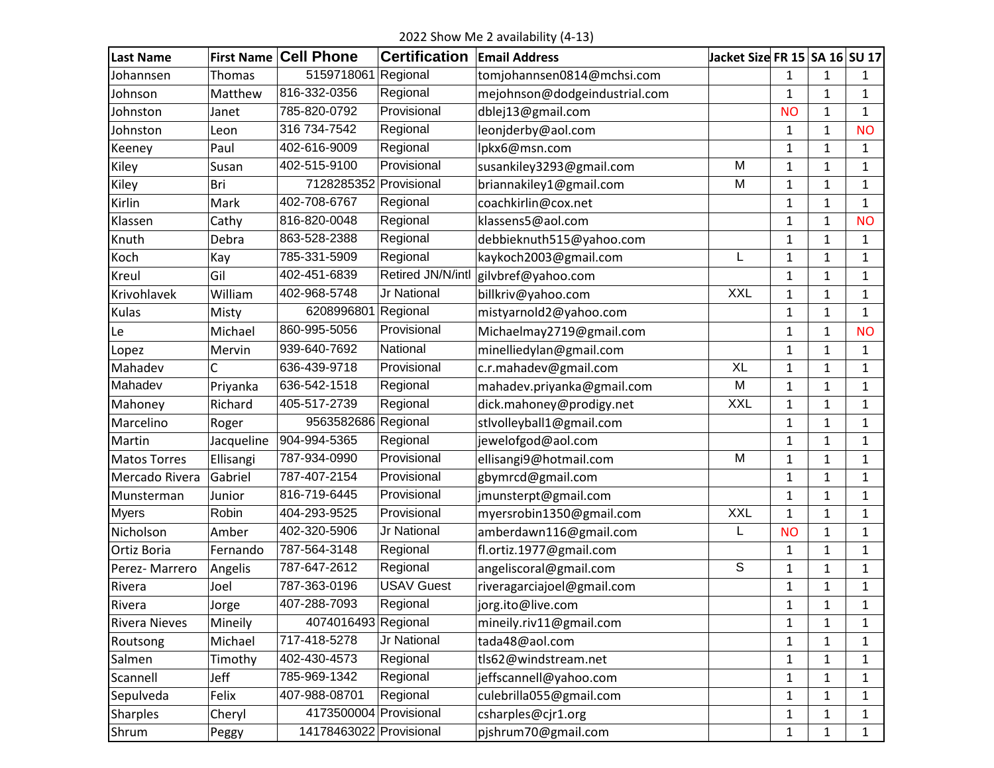2022 Show Me 2 availability (4-13)

| <b>Last Name</b>     | <b>First Name</b> | <b>Cell Phone</b>       | <b>Certification</b> | <b>Email Address</b>          | Jacket Size FR 15 SA 16 SU 17 |              |              |              |
|----------------------|-------------------|-------------------------|----------------------|-------------------------------|-------------------------------|--------------|--------------|--------------|
| Johannsen            | Thomas            | 5159718061 Regional     |                      | tomjohannsen0814@mchsi.com    |                               | $\mathbf{1}$ | 1            | 1            |
| Johnson              | Matthew           | 816-332-0356            | Regional             | mejohnson@dodgeindustrial.com |                               | 1            | 1            | 1            |
| Johnston             | Janet             | 785-820-0792            | Provisional          | dblej13@gmail.com             |                               | <b>NO</b>    | 1            | $\mathbf{1}$ |
| Johnston             | Leon              | 316 734-7542            | Regional             | leonjderby@aol.com            |                               | 1            | 1            | <b>NO</b>    |
| Keeney               | Paul              | 402-616-9009            | Regional             | lpkx6@msn.com                 |                               | 1            | 1            | 1            |
| Kiley                | Susan             | 402-515-9100            | Provisional          | susankiley3293@gmail.com      | M                             | 1            | 1            | 1            |
| Kiley                | Bri               | 7128285352              | Provisional          | briannakiley1@gmail.com       | M                             | $\mathbf{1}$ | $\mathbf{1}$ | $\mathbf{1}$ |
| Kirlin               | Mark              | 402-708-6767            | Regional             | coachkirlin@cox.net           |                               | 1            | 1            | 1            |
| Klassen              | Cathy             | 816-820-0048            | Regional             | klassens5@aol.com             |                               | 1            | 1            | <b>NO</b>    |
| Knuth                | Debra             | 863-528-2388            | Regional             | debbieknuth515@yahoo.com      |                               | $\mathbf 1$  | 1            | $\mathbf{1}$ |
| Koch                 | Kay               | 785-331-5909            | Regional             | kaykoch2003@gmail.com         | L                             | 1            | 1            | 1            |
| Kreul                | Gil               | 402-451-6839            | Retired JN/N/intl    | gilvbref@yahoo.com            |                               | 1            | $\mathbf{1}$ | 1            |
| Krivohlavek          | William           | 402-968-5748            | <b>Jr National</b>   | billkriv@yahoo.com            | <b>XXL</b>                    | $\mathbf{1}$ | 1            | 1            |
| Kulas                | Misty             | 6208996801              | Regional             | mistyarnold2@yahoo.com        |                               | $\mathbf{1}$ | 1            | 1            |
| Le                   | Michael           | 860-995-5056            | Provisional          | Michaelmay2719@gmail.com      |                               | 1            | 1            | <b>NO</b>    |
| Lopez                | Mervin            | 939-640-7692            | National             | minelliedylan@gmail.com       |                               | 1            | 1            | 1            |
| Mahadev              | Ċ                 | 636-439-9718            | Provisional          | c.r.mahadev@gmail.com         | <b>XL</b>                     | 1            | 1            | $\mathbf{1}$ |
| Mahadev              | Priyanka          | 636-542-1518            | Regional             | mahadev.priyanka@gmail.com    | M                             | $\mathbf 1$  | 1            | $\mathbf{1}$ |
| Mahoney              | Richard           | 405-517-2739            | Regional             | dick.mahoney@prodigy.net      | <b>XXL</b>                    | 1            | 1            | 1            |
| Marcelino            | Roger             | 9563582686 Regional     |                      | stlvolleyball1@gmail.com      |                               | 1            | 1            | 1            |
| Martin               | Jacqueline        | 904-994-5365            | Regional             | jewelofgod@aol.com            |                               | $\mathbf{1}$ | $\mathbf{1}$ | $\mathbf{1}$ |
| <b>Matos Torres</b>  | Ellisangi         | 787-934-0990            | Provisional          | ellisangi9@hotmail.com        | M                             | 1            | 1            | 1            |
| Mercado Rivera       | Gabriel           | 787-407-2154            | Provisional          | gbymrcd@gmail.com             |                               | 1            | 1            | 1            |
| Munsterman           | Junior            | 816-719-6445            | Provisional          | jmunsterpt@gmail.com          |                               | $\mathbf 1$  | $\mathbf{1}$ | $\mathbf{1}$ |
| <b>Myers</b>         | Robin             | 404-293-9525            | Provisional          | myersrobin1350@gmail.com      | <b>XXL</b>                    | 1            | 1            | 1            |
| Nicholson            | Amber             | 402-320-5906            | Jr National          | amberdawn116@gmail.com        | L                             | <b>NO</b>    | 1            | 1            |
| Ortiz Boria          | Fernando          | 787-564-3148            | Regional             | fl.ortiz.1977@gmail.com       |                               | 1            | 1            | 1            |
| Perez- Marrero       | Angelis           | 787-647-2612            | Regional             | angeliscoral@gmail.com        | S                             | $\mathbf{1}$ | $\mathbf{1}$ | $\mathbf{1}$ |
| Rivera               | Joel              | 787-363-0196            | <b>USAV Guest</b>    | riveragarciajoel@gmail.com    |                               | 1            | 1            | 1            |
| Rivera               | Jorge             | 407-288-7093            | Regional             | jorg.ito@live.com             |                               | $\mathbf{1}$ | 1            | $\mathbf{1}$ |
| <b>Rivera Nieves</b> | Mineily           | 4074016493 Regional     |                      | mineily.riv11@gmail.com       |                               | $\mathbf{1}$ | $\mathbf{1}$ | $\mathbf{1}$ |
| Routsong             | Michael           | 717-418-5278            | Jr National          | tada48@aol.com                |                               | 1            | 1            | 1            |
| Salmen               | Timothy           | 402-430-4573            | Regional             | tls62@windstream.net          |                               | $\mathbf 1$  | 1            | 1            |
| Scannell             | Jeff              | 785-969-1342            | Regional             | jeffscannell@yahoo.com        |                               | $\mathbf{1}$ | 1            | 1            |
| Sepulveda            | Felix             | 407-988-08701           | Regional             | culebrilla055@gmail.com       |                               | 1            | 1            | 1            |
| <b>Sharples</b>      | Cheryl            | 4173500004 Provisional  |                      | csharples@cjr1.org            |                               | $\mathbf 1$  | 1            | 1            |
| Shrum                | Peggy             | 14178463022 Provisional |                      | pjshrum70@gmail.com           |                               | $\mathbf{1}$ | 1            | 1            |